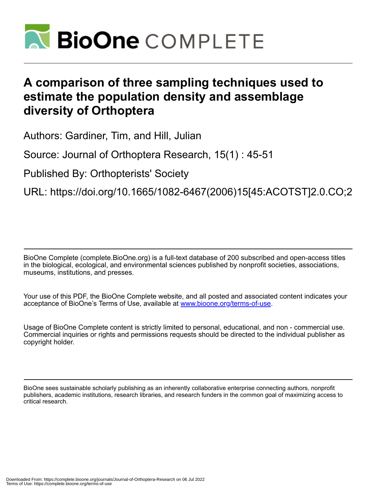

# **A comparison of three sampling techniques used to estimate the population density and assemblage diversity of Orthoptera**

Authors: Gardiner, Tim, and Hill, Julian

Source: Journal of Orthoptera Research, 15(1) : 45-51

Published By: Orthopterists' Society

URL: https://doi.org/10.1665/1082-6467(2006)15[45:ACOTST]2.0.CO;2

BioOne Complete (complete.BioOne.org) is a full-text database of 200 subscribed and open-access titles in the biological, ecological, and environmental sciences published by nonprofit societies, associations, museums, institutions, and presses.

Your use of this PDF, the BioOne Complete website, and all posted and associated content indicates your acceptance of BioOne's Terms of Use, available at www.bioone.org/terms-of-use.

Usage of BioOne Complete content is strictly limited to personal, educational, and non - commercial use. Commercial inquiries or rights and permissions requests should be directed to the individual publisher as copyright holder.

BioOne sees sustainable scholarly publishing as an inherently collaborative enterprise connecting authors, nonprofit publishers, academic institutions, research libraries, and research funders in the common goal of maximizing access to critical research.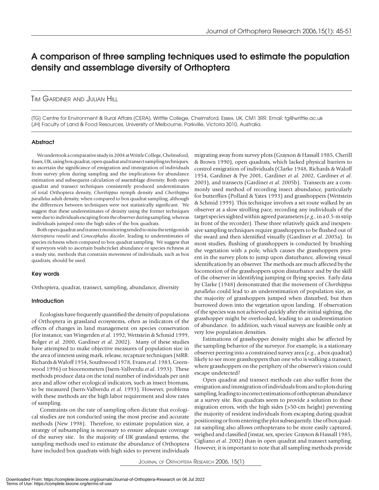## A comparison of three sampling techniques used to estimate the population density and assemblage diversity of Orthoptera

### TIM GARDINER AND JULIAN HILL

[TG] Centre for Environment & Rural Affairs (CERA), Writtle College, Chelmsford, Essex, UK, CM1 3RR. Email: tg@writtle.ac.uk [JH] Faculty of Land & Food Resources, University of Melbourne, Parkville, Victoria 3010, Australia.

#### **Abstract**

 We undertook a comparative study in 2004 at Writtle College, Chelmsford, Essex, UK, using box quadrat, open quadrat and transect sampling techniques, to ascertain the significance of emigration and immigration of individuals from survey plots during sampling and the implications for abundance estimation and subsequent calculation of assemblage diversity. Both open quadrat and transect techniques consistently produced underestimates of total Orthoptera density, *Chorthippus* nymph density and *Chorthippus parallelus* adult density, when compared to box quadrat sampling, although the differences between techniques were not statistically significant. We suggest that these underestimates of density using the former techniques were due to individuals escaping from the observer during sampling, whereas individuals jumped onto the high sides of the box quadrats.

 Both open quadrat and transect monitoring tended to miss the tettigoniids *Metrioptera roeselii* and *Conocephalus discolor,* leading to underestimates of species richness when compared to box quadrat sampling. We suggest that if surveyors wish to ascertain bushcricket abundance or species richness at a study site, methods that constrain movement of individuals, such as box quadrats, should be used.

#### Key words

Orthoptera, quadrat, transect, sampling, abundance, diversity

#### **Introduction**

 Ecologists have frequently quantified the density of populations of Orthoptera in grassland ecosystems, often as indicators of the effects of changes in land management on species conservation (for instance, van Wingerden *et al*. 1992, Wettstein & Schmid 1999, Bolger *et al*. 2000, Gardiner *et al*. 2002).Many of these studies have attempted to make objective measures of population size in the area of interest using mark, release, recapture techniques (MRR: Richards & Waloff 1954, Southwood 1978, Evans *et al*. 1983, Greenwood 1996) or biocenometers (Isern-Vallverdu *et al*. 1993). These methods produce data on the total number of individuals per unit area and allow other ecological indicators, such as insect biomass, to be measured (Isern-Vallverdu *et al*. 1993). However, problems with these methods are the high labor requirement and slow rates of sampling.

 Constraints on the rate of sampling often dictate that ecological studies are not conducted using the most precise and accurate methods (New 1998). Therefore, to estimate population size, a strategy of subsampling is necessary to ensure adequate coverage of the survey site. In the majority of UK grassland systems, the sampling methods used to estimate the abundance of Orthoptera have included box quadrats with high sides to prevent individuals

migrating away from survey plots (Grayson & Hassall 1985, Cherill & Brown 1990), open quadrats, which lacked physical barriers to control emigration of individuals (Clarke 1948, Richards & Waloff 1954, Gardiner & Pye 2001, Gardiner *et al*. 2002, Gardiner *et al*. 2003), and transects (Gardiner *et al*. 2005b). Transects are a commonly used method of recording insect abundance, particularly for butterflies (Pollard & Yates 1993) and grasshoppers (Wettstein & Schmid 1999). This technique involves a set route walked by an observer at a slow strolling pace, recording any individuals of the target species sighted within agreed parameters (*e.g.,* in a 0.5-m strip in front of the recorder). These three relatively quick and inexpensive sampling techniques require grasshoppers to be flushed out of the sward and then identified visually (Gardiner *et al*. 2005a). In most studies, flushing of grasshoppers is conducted by brushing the vegetation with a pole, which causes the grasshoppers present in the survey plots to jump upon disturbance, allowing visual identification by an observer. The methods are much affected by the locomotion of the grasshoppers upon disturbance and by the skill of the observer in identifying jumping or flying species. Early data by Clarke (1948) demonstrated that the movement of *Chorthippus parallelus* could lead to an underestimation of population size, as the majority of grasshoppers jumped when disturbed, but then burrowed down into the vegetation upon landing. If observation of the species was not achieved quickly after the initial sighting, the grasshopper might be overlooked, leading to an underestimation of abundance. In addition, such visual surveys are feasible only at very low population densities.

 Estimations of grasshopper density might also be affected by the sampling behavior of the surveyor. For example, is a stationary observer peering into a constrained survey area (*e.g.,* a box quadrat) likely to see more grasshoppers than one who is walking a transect, where grasshoppers on the periphery of the observer's vision could escape undetected?

 Open quadrat and transect methods can also suffer from the emigration and immigration of individuals from and to plots during sampling, leading to incorrect estimations of orthopteran abundance at a survey site. Box quadrats seem to provide a solution to these migration errors, with the high sides (>50-cm height) preventing the majority of resident individuals from escaping during quadrat positioning or from entering the plot subsequently.Use of box quadrat sampling also allows orthopterans to be more easily captured, weighed and classified (instar, sex, species: Grayson & Hassall 1985, Cigliano *et al*. 2002) than in open quadrat and transect sampling. However, it is important to note that all sampling methods provide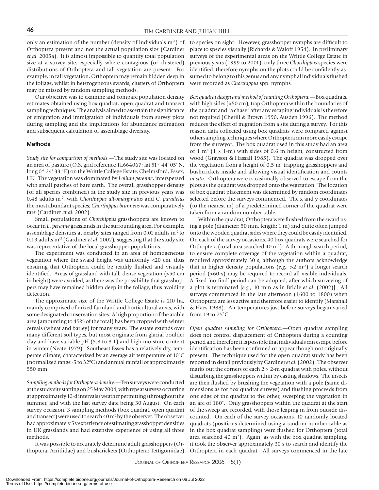only an estimation of the number (density of individuals m-2) of Orthoptera present and not the actual population size (Gardiner *et al*. 2005a). It is almost impossible to quantify total population size at a survey site, especially where contagious (or clustered) distributions of Orthoptera and tall vegetation are present. For example, in tall vegetation, Orthoptera may remain hidden deep in the foliage, whilst in heterogeneous swards, clusters of Orthoptera may be missed by random sampling methods.

 Our objective was to examine and compare population density estimates obtained using box quadrat, open quadrat and transect sampling techniques. The analysis aimed to ascertain the significance of emigration and immigration of individuals from survey plots during sampling and the implications for abundance estimation and subsequent calculation of assemblage diversity.

#### **Methods**

*Study site for comparison of methods.—*The study site was located on an area of pasture (O.S. grid reference TL664067; lat 51° 44' 05''N, long 0° 24' 33'' E) on the Writtle College Estate, Chelmsford, Essex, UK. The vegetation was dominated by *Lolium perenne*, interspersed with small patches of bare earth. The overall grasshopper density (of all species combined) at the study site in previous years was 0.48 adults m-2, with *Chorthippus albomarginatus* and *C. parallelus* the most abundant species; *Chorthippus brunneus* was comparatively rare (Gardiner *et al*. 2002).

 Small populations of *Chorthippus* grasshoppers are known to occur in *L. perenne* grasslands in the surrounding area. For example, assemblage densities at nearby sites ranged from 0.01 adults m-2 to 0.13 adults m<sup>-2</sup> (Gardiner *et al.* 2002), suggesting that the study site was representative of the local grasshopper populations.

 The experiment was conducted in an area of homogeneous vegetation where the sward height was uniformly <20 cm, thus ensuring that Orthoptera could be readily flushed and visually identified. Areas of grassland with tall, dense vegetation (>50 cm in height) were avoided, as there was the possibility that grasshoppers may have remained hidden deep in the foliage, thus avoiding detection.

 The approximate size of the Writtle College Estate is 210 ha, mainly comprised of mixed farmland and horticultural areas, with some designated conservation sites. A high proportion of the arable area (amounting to 45% of the total) has been cropped with winter cereals (wheat and barley) for many years. The estate extends over many different soil types, but most originate from glacial boulder clay and have variable pH (5.8 to 8.1) and high moisture content in winter (Neate 1979). Southeast Essex has a relatively dry, temperate climate, characterized by an average air temperature of 10˚C (normalized range -5 to 32°C) and annual rainfall of approximately 550 mm.

*Sampling methods for Orthoptera density.—*Ten surveys were conducted at the study site starting on 25 May 2004, with repeat surveys occurring at approximately 10-d intervals (weather permitting) throughout the summer, and with the last survey date being 30 August. On each survey occasion, 3 sampling methods (box quadrat, open quadrat and transect) were used to search 40 m2 by the observer. The observer had approximately 5 y experience of estimating grasshopper densities in UK grasslands and had extensive experience of using all three methods.

 It was possible to accurately determine adult grasshoppers (Orthoptera: Acrididae) and bushcrickets (Orthoptera: Tettigoniidae) to species on sight. However, grasshopper nymphs are difficult to place to species visually (Richards & Waloff 1954). In preliminary surveys of the experimental areas on the Writtle College Estate in previous years (1999 to 2001), only three *Chorthippus* species were identified: therefore nymphs on the plots could be confidently assumed to belong to this genus and any nymphal individuals flushed were recorded as *Chorthippus* spp. nymphs.

*Box quadrat design and method of counting Orthoptera.—*Box quadrats, with high sides (>50 cm), trap Orthoptera within the boundaries of the quadrat and "a chase" after any escaping individuals is therefore not required (Cherill & Brown 1990, Ausden 1996). The method reduces the effect of migration from a site during a survey. For this reason data collected using box quadrats were compared against other sampling techniques where Orthoptera can more easily escape from the surveyor. The box quadrat used in this study had an area of 1 m<sup>2</sup> (1  $\times$  1-m) with sides of 0.6 m height, constructed from wood (Grayson & Hassall 1985). The quadrat was dropped over the vegetation from a height of 0.5 m, trapping grasshoppers and bushcrickets inside and allowing visual identification and counts *in situ*. Orthoptera were occasionally observed to escape from the plots as the quadrat was dropped onto the vegetation. The location of box quadrat placement was determined by random coordinates selected before the surveys commenced. The x and y coordinates (to the nearest m) of a predetermined corner of the quadrat were taken from a random number table.

 Within the quadrat, Orthoptera were flushed from the sward using a pole (diameter: 50 mm, length: 1 m) and quite often jumped onto the wooden quadrat sides where they could be easily identified. On each of the survey occasions, 40 box quadrats were searched for Orthoptera (total area searched  $40 \text{ m}^2$ ). A thorough search period, to ensure complete coverage of the vegetation within a quadrat, required approximately 30 s, although the authors acknowledge that in higher density populations (*e.g.,* >2 m-2) a longer search period (>60 s) may be required to record all visible individuals. A fixed 'no-find' period can be adopted, after which surveying of a plot is terminated [*e.g.,* 10 min as in Bridle *et al*. (2002)]. All surveys commenced in the late afternoon (1600 to 1800) when Orthoptera are less active and therefore easier to identify (Marshall & Haes 1988). Air temperatures just before surveys began varied from 19 to 25˚C.

*Open quadrat sampling for Orthoptera.—*Open quadrat sampling does not control displacement of Orthoptera during a counting period and therefore it is possible that individuals can escape before identification has been confirmed or appear though not originally present. The technique used for the open quadrat study has been reported in detail previously by Gardiner *et al.* (2002). The observer marks out the corners of each  $2 \times 2$ -m quadrat with poles, without disturbing the grasshoppers within by casting shadows. The insects are then flushed by brushing the vegetation with a pole (same dimensions as for box quadrat surveys) and flushing proceeds from one edge of the quadrat to the other, sweeping the vegetation in an arc of 180˚. Only grasshoppers within the quadrat at the start of the sweep are recorded, with those leaping in from outside discounted. On each of the survey occasions, 10 randomly located quadrats (positions determined using a random number table as in the box quadrat sampling) were flushed for Orthoptera (total area searched 40 m<sup>2</sup>). Again, as with the box quadrat sampling, it took the observer approximately 30 s to search and identify the Orthoptera in each quadrat. All surveys commenced in the late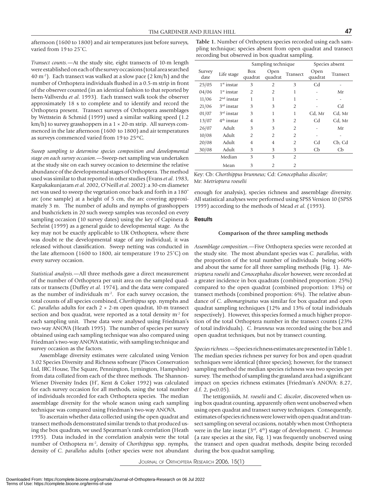afternoon (1600 to 1800) and air temperatures just before surveys, varied from 19 to 25˚C.

**Table 1.** Number of Orthoptera species recorded using each sampling technique; species absent from open quadrat and transect recording but observed in box quadrat sampling.

*Transect counts.—*At the study site, eight transects of 10-m length were established on each of the survey occasions (total area searched  $40 \text{ m}^2$ ). Each transect was walked at a slow pace (2 km/h) and the number of Orthoptera individuals flushed in a 0.5-m strip in front of the observer counted (in an identical fashion to that reported by Isern-Vallverdu *et al*. 1993). Each transect walk took the observer approximately 18 s to complete and to identify and record the Orthoptera present. Transect surveys of Orthoptera assemblages by Wettstein & Schmid (1999) used a similar walking speed (1.2  $km/h$ ) to survey grasshoppers in a  $1 \times 20$ -m strip. All surveys commenced in the late afternoon (1600 to 1800) and air temperatures as surveys commenced varied from 19 to 25ºC.

*Sweep sampling to determine species composition and developmental stage on each survey occasion.—*Sweep-net sampling was undertaken at the study site on each survey occasion to determine the relative abundance of the developmental stages of Orthoptera. The method used was similar to that reported in other studies (Evans *et al*. 1983, Karpakakunjaram *et al*. 2002, O'Neill *et al*. 2002): a 30-cm diameter net was used to sweep the vegetation once back and forth in a 180˚ arc (one sample) at a height of 5 cm, the arc covering approximately 3 m. The number of adults and nymphs of grasshoppers and bushcrickets in 20 such sweep samples was recorded on every sampling occasion (10 survey dates) using the key of Capinera & Sechrist (1999) as a general guide to developmental stage. As the key may not be exactly applicable to UK Orthoptera, where there was doubt re the developmental stage of any individual, it was released without classification. Sweep netting was conducted in the late afternoon (1600 to 1800, air temperature 19 to 25˚C) on every survey occasion.

*Statistical analysis.—*All three methods gave a direct measurement of the number of Orthoptera per unit area on the sampled quadrats or transects (Duffey *et al*. 1974), and the data were compared as the number of individuals  $m<sup>2</sup>$ . For each survey occasion, the total counts of all species combined, *Chorthippus* spp. nymphs and *C. parallelus* adults for each 2 × 2-m open quadrat, 10-m transect section and box quadrat, were reported as a total density  $m<sup>2</sup>$  for each sampling unit. These data were analysed using Friedman's two-way ANOVA (Heath 1995). The number of species per survey obtained using each sampling technique was also compared using Friedman's two-way ANOVA statistic, with sampling technique and survey occasion as the factors.

 Assemblage diversity estimates were calculated using Version 3.02 Species Diversity and Richness software (Pisces Conservation Ltd, IRC House, The Square, Pennington, Lymington, Hampshire) from data collated from each of the three methods. The Shannon-Wiener Diversity Index (H', Kent & Coker 1992) was calculated for each survey occasion for all methods, using the total number of individuals recorded for each Orthoptera species. The median assemblage diversity for the whole season using each sampling technique was compared using Friedman's two-way ANOVA.

 To ascertain whether data collected using the open quadrat and transect methods demonstrated similar trends to that produced using the box quadrats, we used Spearman's rank correlation (Heath 1995). Data included in the correlation analysis were the total number of Orthoptera m<sup>-2</sup>, density of *Chorthippus* spp. nymphs, density of *C. parallelus* adults (other species were not abundant

|                |              | Sampling technique |                 |                | Species absent  |              |
|----------------|--------------|--------------------|-----------------|----------------|-----------------|--------------|
| Survey<br>date | Life stage   | Box<br>quadrat     | Open<br>quadrat | Transect       | Open<br>quadrat | Transect     |
| 25/05          | $1st$ instar | 3                  | $\overline{2}$  | 3              | Cd              |              |
| 04/06          | $1st$ instar | $\overline{2}$     | $\overline{2}$  | 1              |                 | Mr           |
| 11/06          | $2nd$ instar | 1                  | 1               | 1              |                 |              |
| 21/06          | $3rd$ instar | 3                  | 3               | $\overline{2}$ |                 | Cd           |
| 01/07          | $3rd$ instar | 3                  | 1               | 1              | Cd, Mr          | Cd, Mr       |
| 13/07          | $4th$ instar | $\overline{4}$     | 3               | $\overline{2}$ | Cd              | Cd, Mr       |
| 26/07          | Adult        | 3                  | 3               | $\overline{2}$ |                 | Mr           |
| 10/08          | Adult        | $\overline{2}$     | $\overline{2}$  | $\overline{2}$ |                 |              |
| 20/08          | Adult        | $\overline{4}$     | 4               | $\overline{2}$ | Cd              | Cb, Cd       |
| 30/08          | Adult        | 3                  | 3               | 3              | $\mathbf{C}$    | $\mathbf{C}$ |
|                | Median       | 3                  | 3               | $\overline{2}$ |                 |              |
|                | Mean         | 3                  | $\overline{2}$  | $\overline{2}$ |                 |              |

Key: Cb: *Chorthippus brunneus;* Cd: *Conocephalus discolor;* Mr: *Metrioptera roeselii*

enough for analysis), species richness and assemblage diversity. All statistical analyses were performed using SPSS Version 10 (SPSS 1999) according to the methods of Mead *et al.* (1993).

#### **Results**

#### **Comparison of the three sampling methods**

*Assemblage composition.—*Five Orthoptera species were recorded at the study site. The most abundant species was *C. parallelus*, with the proportion of the total number of individuals being >60% and about the same for all three sampling methods (Fig. 1). *Metrioptera roeselii* and *Conocephalus discolor* however, were recorded at a greater incidence in box quadrats (combined proportion: 25%) compared to the open quadrat (combined proportion: 13%) or transect methods (combined proportion: 6%). The relative abundance of *C. albomarginatus* was similar for box quadrat and open quadrat sampling techniques (12% and 13% of total individuals respectively). However, this species formed a much higher proportion of the total Orthoptera number in the transect counts (23% of total individuals). *C. brunneus* was recorded using the box and open quadrat techniques, but not by transect counting.

*Species richness.—*Species richness estimates are presented in Table 1. The median species richness per survey for box and open quadrat techniques were identical (three species); however, for the transect sampling method the median species richness was two species per survey. The method of sampling the grassland area had a significant impact on species richness estimates (Friedman's ANOVA: 8.27, d.f. 2, p<0.05).

 The tettigoniids, *M. roeselii* and *C. discolor*, discovered when using box quadrat counting, apparently often went unobserved when using open quadrat and transect survey techniques. Consequently, estimates of species richness were lower with open quadrat and transect sampling on several occasions, notably when most Orthoptera were in the late instar (3<sup>rd</sup>, 4<sup>th</sup>) stage of development. *C. brunneus* (a rare species at the site, Fig. 1) was frequently unobserved using the transect and open quadrat methods, despite being recorded during the box quadrat sampling.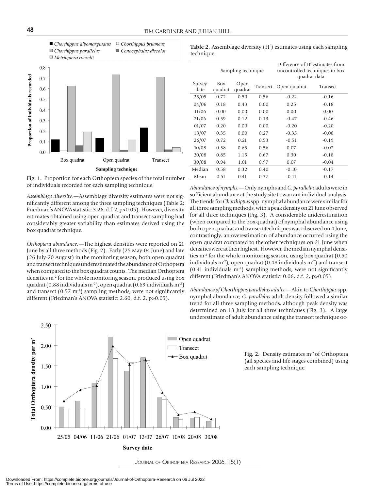

**Fig. 1.** Proportion for each Orthoptera species of the total number of individuals recorded for each sampling technique.

*Assemblage diversity.—*Assemblage diversity estimates were not significantly different among the three sampling techniques (Table 2; Friedman's ANOVA statistic: 3.26, d.f. 2, p>0.05). However, diversity estimates obtained using open quadrat and transect sampling had considerably greater variability than estimates derived using the box quadrat technique.

*Orthoptera abundance.—*The highest densities were reported on 21 June by all three methods (Fig. 2). Early (25 May-04 June) and late (26 July-20 August) in the monitoring season, both open quadrat and transect techniques underestimated the abundance of Orthoptera when compared to the box quadrat counts. The median Orthoptera densities m-2 for the whole monitoring season, produced using box quadrat (0.88 individuals m<sup>-2</sup>), open quadrat (0.69 individuals m<sup>-2</sup>) and transect  $(0.57 \text{ m}^2)$  sampling methods, were not significantly different (Friedman's ANOVA statistic: 2.60, d.f. 2, p>0.05).

**Table 2.** Assemblage diversity (H') estimates using each sampling technique.

|                | Sampling technique |                 |          | Difference of H' estimates from<br>uncontrolled techniques to box<br>quadrat data |          |  |
|----------------|--------------------|-----------------|----------|-----------------------------------------------------------------------------------|----------|--|
| Survey<br>date | Box<br>quadrat     | Open<br>quadrat | Transect | Open quadrat                                                                      | Transect |  |
| 25/05          | 0.72               | 0.50            | 0.56     | $-0.22$                                                                           | $-0.16$  |  |
| 04/06          | 0.18               | 0.43            | 0.00     | 0.25                                                                              | $-0.18$  |  |
| 11/06          | 0.00               | 0.00            | 0.00     | 0.00                                                                              | 0.00     |  |
| 21/06          | 0.59               | 0.12            | 0.13     | $-0.47$                                                                           | $-0.46$  |  |
| 01/07          | 0.20               | 0.00            | 0.00     | $-0.20$                                                                           | $-0.20$  |  |
| 13/07          | 0.35               | 0.00            | 0.27     | $-0.35$                                                                           | $-0.08$  |  |
| 26/07          | 0.72               | 0.21            | 0.53     | $-0.51$                                                                           | $-0.19$  |  |
| 10/08          | 0.58               | 0.65            | 0.56     | 0.07                                                                              | $-0.02$  |  |
| 20/08          | 0.85               | 1.15            | 0.67     | 0.30                                                                              | $-0.18$  |  |
| 30/08          | 0.94               | 1.01            | 0.97     | 0.07                                                                              | $-0.04$  |  |
| Median         | 0.58               | 0.32            | 0.40     | $-0.10$                                                                           | $-0.17$  |  |
| Mean           | 0.51               | 0.41            | 0.37     | $-0.11$                                                                           | $-0.14$  |  |

*Abundance of nymphs.—*Only nymphs and *C. parallelus* adults were in sufficient abundance at the study site to warrant individual analysis. The trends for *Chorthippus* spp. nymphal abundance were similar for all three sampling methods, with a peak density on 21 June observed for all three techniques (Fig. 3). A considerable underestimation (when compared to the box quadrat) of nymphal abundance using both open quadrat and transect techniques was observed on 4 June; contrastingly, an overestimation of abundance occurred using the open quadrat compared to the other techniques on 21 June when densities were at their highest. However, the median nymphal densities m-2 for the whole monitoring season, using box quadrat (0.50 individuals  $m<sup>-2</sup>$ ), open quadrat (0.48 individuals  $m<sup>-2</sup>$ ) and transect  $(0.41 \text{ individuals } m^2)$  sampling methods, were not significantly different (Friedman's ANOVA statistic: 0.06, d.f. 2, p>0.05).

*Abundance of Chorthippus parallelus adults.—*Akin to *Chorthippus* spp. nymphal abundance, *C. parallelus* adult density followed a similar trend for all three sampling methods, although peak density was determined on 13 July for all three techniques (Fig. 3). A large underestimate of adult abundance using the transect technique oc-



Fig. 2. Density estimates m<sup>-2</sup> of Orthoptera (all species and life stages combined) using each sampling technique.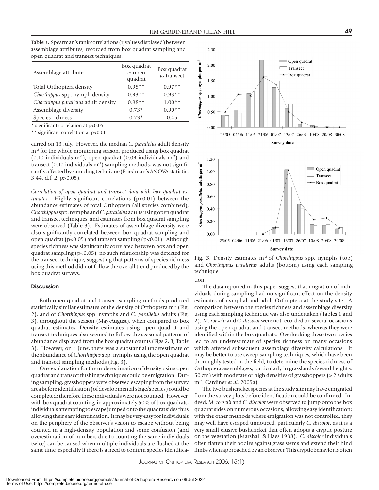Table 3. Spearman's rank correlations (r<sub>s</sub> values displayed) between assemblage attributes, recorded from box quadrat sampling and open quadrat and transect techniques.

| Assemblage attribute                 | Box quadrat<br>vs open<br>quadrat | Box quadrat<br>vs transect |
|--------------------------------------|-----------------------------------|----------------------------|
| Total Orthoptera density             | $0.98**$                          | $0.97**$                   |
| Chorthippus spp. nymph density       | $0.93**$                          | $0.93**$                   |
| Chorthippus parallelus adult density | $0.98**$                          | $1.00**$                   |
| Assemblage diversity                 | $0.73*$                           | $0.90**$                   |
| Species richness                     | $0.73*$                           | 0.45                       |

\* significant correlation at p<0.05

\*\* significant correlation at p<0.01

curred on 13 July. However, the median *C. parallelus* adult density m<sup>-2</sup> for the whole monitoring season, produced using box quadrat (0.10 individuals  $m<sup>-2</sup>$ ), open quadrat (0.09 individuals  $m<sup>-2</sup>$ ) and transect  $(0.10 \text{ individuals m}^2)$  sampling methods, was not significantly affected by sampling technique (Friedman's ANOVA statistic: 3.44, d.f. 2, p>0.05).

*Correlation of open quadrat and transect data with box quadrat estimates.*—Highly significant correlations (p<0.01) between the abundance estimates of total Orthoptera (all species combined), *Chorthippus* spp. nymphs and *C. parallelus* adults using open quadrat and transect techniques, and estimates from box quadrat sampling were observed (Table 3). Estimates of assemblage diversity were also significantly correlated between box quadrat sampling and open quadrat (p<0.05) and transect sampling (p<0.01). Although species richness was significantly correlated between box and open quadrat sampling (p<0.05), no such relationship was detected for the transect technique, suggesting that patterns of species richness using this method did not follow the overall trend produced by the box quadrat surveys.

#### Discussion

 Both open quadrat and transect sampling methods produced statistically similar estimates of the density of Orthoptera  $m<sup>2</sup>$  (Fig. 2), and of *Chorthippus* spp. nymphs and *C. parallelus* adults (Fig. 3), throughout the season (May-August), when compared to box quadrat estimates. Density estimates using open quadrat and transect techniques also seemed to follow the seasonal patterns of abundance displayed from the box quadrat counts (Figs 2, 3; Table 3). However, on 4 June, there was a substantial underestimate of the abundance of *Chorthippus* spp. nymphs using the open quadrat and transect sampling methods (Fig. 3).

 One explanation for the underestimation of density using open quadrat and transect flushing techniques could be emigration. During sampling, grasshoppers were observed escaping from the survey area before identification (of developmental stage/species) could be completed; therefore these individuals were not counted. However, with box quadrat counting, in approximately 50% of box quadrats, individuals attempting to escape jumped onto the quadrat sides thus allowing their easy identification. It may be very easy for individuals on the periphery of the observer's vision to escape without being counted in a high-density population and some confusion (and overestimation of numbers due to counting the same individuals twice) can be caused when multiple individuals are flushed at the same time, especially if there is a need to confirm species identifica-



**Fig. 3.** Density estimates m-2 of *Chorthippus* spp. nymphs (top) and *Chorthippus parallelus* adults (bottom) using each sampling technique.

tion.

 The data reported in this paper suggest that migration of individuals during sampling had no significant effect on the density estimates of nymphal and adult Orthoptera at the study site. A comparison between the species richness and assemblage diversity using each sampling technique was also undertaken (Tables 1 and 2). *M. roeselii* and *C. discolor* were not recorded on several occasions using the open quadrat and transect methods, whereas they were identified within the box quadrats. Overlooking these two species led to an underestimate of species richness on many occasions which affected subsequent assemblage diversity calculations. It may be better to use sweep-sampling techniques, which have been thoroughly tested in the field, to determine the species richness of Orthoptera assemblages, particularly in grasslands (sward height < 50 cm) with moderate or high densities of grasshoppers (> 2 adults m-2; Gardiner *et al*. 2005a).

 The two bushcricket species at the study site may have emigrated from the survey plots before identification could be confirmed. Indeed, *M. roeselii* and *C. discolor* were observed to jump onto the box quadrat sides on numerous occasions, allowing easy identification; with the other methods where emigration was not controlled, they may well have escaped unnoticed, particularly *C. discolor*, as it is a very small elusive bushcricket that often adopts a cryptic posture on the vegetation (Marshall & Haes 1988). *C. discolor* individuals often flatten their bodies against grass stems and extend their hind limbs when approached by an observer. This cryptic behavior is often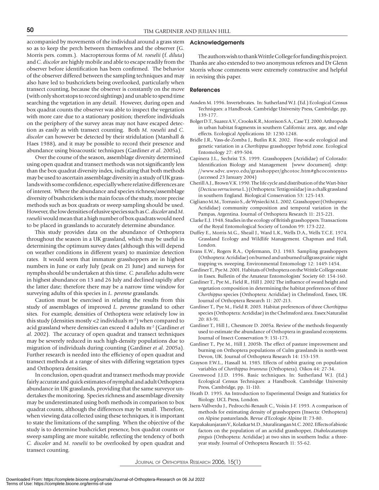accompanied by movements of the individual around a grass stem Acknowledgements so as to keep the perch between themselves and the observer (G. Morris pers. comm.). Macropterous forms of *M. roeselii* (f. *diluta*) and *C. discolor* are highly mobile and able to escape readily from the observer before identification has been confirmed. The behavior of the observer differed between the sampling techniques and may also have led to bushcrickets being overlooked, particularly when transect counting, because the observer is constantly on the move (with only short stops to record sightings) and unable to spend time searching the vegetation in any detail. However, during open and box quadrat counts the observer was able to inspect the vegetation with more care due to a stationary position; therefore individuals on the periphery of the survey areas may not have escaped detection as easily as with transect counting. Both *M. roeselii* and *C. discolor* can however be detected by their stridulation (Marshall & Haes 1988), and it may be possible to record their presence and abundance using bioacoustic techniques (Gardiner *et al*. 2005a).

 Over the course of the season, assemblage diversity determined using open quadrat and transect methods was not significantly less than the box quadrat diversity index, indicating that both methods may be used to ascertain assemblage diversity in a study of UK grasslands with some confidence, especially where relative differences are of interest. Where the abundance and species richness/assemblage diversity of bushcrickets is the main focus of the study, more precise methods such as box quadrats or sweep sampling should be used. However, the low densities of elusive species such as *C. discolor* and *M. roeselii* would mean that a high number of box quadrats would need to be placed in grasslands to accurately determine abundance.

 This study provides data on the abundance of Orthoptera throughout the season in a UK grassland, which may be useful in determining the optimum survey dates (although this will depend on weather conditions in different years) to maximize detection rates. It would seem that immature grasshoppers are in highest numbers in June or early July (peak on 21 June) and surveys for nymphs should be undertaken at this time. *C. parallelus* adults were in highest abundance on 13 and 26 July and declined rapidly after the latter date; therefore there may be a narrow time window for surveying adults of this species in *L. perenne* grasslands.

 Caution must be exercised in relating the results from this study of assemblages of improved *L. perenne* grassland to other sites. For example, densities of Orthoptera were relatively low in this study (densities mostly <2 individuals  $m<sup>-2</sup>$ ) when compared to acid grassland where densities can exceed 4 adults m-2 (Gardiner *et al*. 2002). The accuracy of open quadrat and transect techniques may be severely reduced in such high-density populations due to migration of individuals during counting (Gardiner *et al*. 2005a). Further research is needed into the efficiency of open quadrat and transect methods at a range of sites with differing vegetation types and Orthoptera densities.

 In conclusion, open quadrat and transect methods may provide fairly accurate and quick estimates of nymphal and adult Orthoptera abundance in UK grasslands, providing that the same surveyor undertakes the monitoring. Species richness and assemblage diversity may be underestimated using both methods in comparison to box quadrat counts, although the differences may be small. Therefore, when viewing data collected using these techniques, it is important to state the limitations of the sampling. When the objective of the study is to determine bushcricket presence, box quadrat counts or sweep sampling are more suitable, reflecting the tendency of both *C. discolor* and *M. roeselii* to be overlooked by open quadrat and transect counting.

 The authors wish to thank Writtle College for funding this project. Thanks are also extended to two anonymous referees and Dr Glenn Morris whose comments were extremely constructive and helpful in revising this paper.

#### References

- Ausden M. 1996. Invertebrates. In: Sutherland W.J. (Ed.) Ecological Census Techniques: a Handbook. Cambridge University Press, Cambridge, pp. 139-177.
- Bolger D.T., Suarez A.V., Crooks K.R., Morrison S.A., Case T.J. 2000. Arthropods in urban habitat fragments in southern California: area, age, and edge effects. Ecological Applications 10: 1230-1248.
- Bridle J.R., Vass-de-Zomba J., Butlin R.K. 2002. Fine-scale ecological and genetic variation in a *Chorthippus* grasshopper hybrid zone. Ecological Entomology 27: 499-504.
- Capinera J.L., Sechrist T.S. 1999. Grasshoppers (Acrididae) of Colorado: Identification Biology and Management [www document]. <http: //www.sdvc.uwyo.edu/grasshopper/ghcotoc.htm#ghcocontents> (accessed 23 January 2004)
- Cherill A.J., Brown V.K. 1990. The life cycle and distribution of the Wart-biter (*Decticus verrucivorus* L.) (Orthoptera: Tettigoniidae) in a chalk grassland in southern England. Biological Conservation 53: 125-143.
- Cigliano M.M., Torrusio S., de Wysiecki M.L. 2002. Grasshopper (Orthoptera: Acrididae) community composition and temporal variation in the Pampas, Argentina. Journal of Orthoptera Research 11: 215-221.
- Clarke E.J. 1948. Studies in the ecology of British grasshoppers. Transactions of the Royal Entomological Society of London 99: 173-222.
- Duffey E., Morris M.G., Sheail J., Ward L.K., Wells D.A., Wells T.C.E. 1974. Grassland Ecology and Wildlife Management. Chapman and Hall, London.
- Evans E.W., Rogers R.A., Opfermann, D.J. 1983. Sampling grasshoppers (Orthoptera: Acrididae) on burned and unburned tallgrass prairie: night trapping vs. sweeping. Environmental Entomology 12: 1449-1454.
- Gardiner T., Pye M. 2001. Habitats of Orthoptera on the Writtle College estate in Essex. Bulletin of the Amateur Entomologists' Society 60: 154-160.
- Gardiner T., Pye M., Field R., Hill J. 2002 The influence of sward height and vegetation composition in determining the habitat preferences of three *Chorthippus* species (Orthoptera: Acrididae) in Chelmsford, Essex, UK. Journal of Orthoptera Research 11: 207-213.
- Gardiner T., Pye M., Field R. 2003. Habitat preferences of three *Chorthippus* species (Orthoptera: Acrididae) in the Chelmsford area. Essex Naturalist  $20.83 - 91$
- Gardiner T., Hill J., Chesmore D. 2005a. Review of the methods frequently used to estimate the abundance of Orthoptera in grassland ecosystems. Journal of Insect Conservation 9: 151-173.
- Gardiner T., Pye M., Hill J. 2005b. The effect of pasture improvement and burning on Orthoptera populations of Culm grasslands in north-west Devon, UK. Journal of Orthoptera Research 14: 153-159.
- Grayson F.W.L., Hassall M. 1985. Effects of rabbit grazing on population variables of *Chorthippus brunneus* (Orthoptera). Oikos 44: 27-34.
- Greenwood J.J.D. 1996. Basic techniques. In: Sutherland W.J. (Ed.) Ecological Census Techniques: a Handbook. Cambridge University Press, Cambridge, pp. 11-110.
- Heath D. 1995. An Introduction to Experimental Design and Statistics for Biology. UCL Press, London.
- Isern-Vallverdu J., Pedrocchi-Renault C., Voisin J-F. 1993. A comparison of methods for estimating density of grasshoppers (Insecta: Orthoptera) on Alpine pasturelands. Revue d'Ecologie Alpine II: 73-80.
- Karpakakunjaram V., Kolatkar M.D., Muralirangan M.C. 2002. Effects of abiotic factors on the population of an acridid grasshopper, *Diabolocatantops pinguis* (Orthoptera: Acrididae) at two sites in southern India: a threeyear study. Journal of Orthoptera Research 11: 55-62.